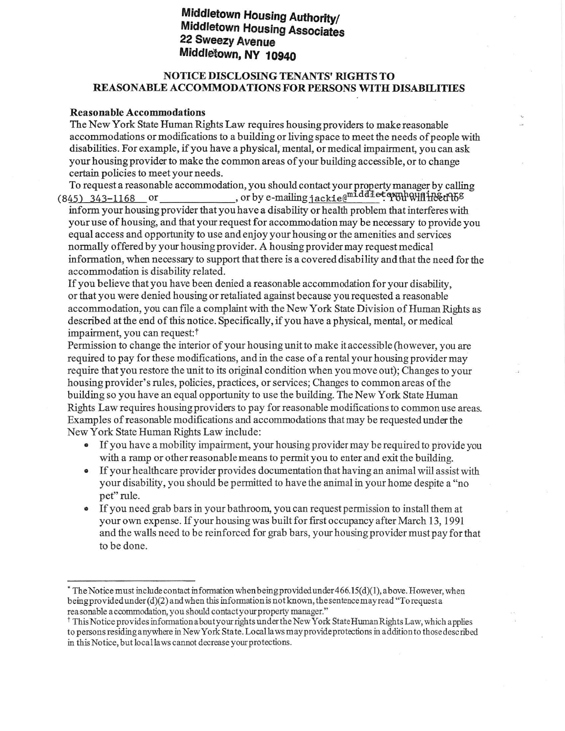# Middletown Housing Authority/<br>Middletown Housing Associates<br>22 Sweezy Avenue Middletown, NY 10940

# NOTICE DISCLOSING TENANTS' RIGHTS TO REASONABLE ACCOMMODATIONS FOR PERSONS WITH DISABILITIES

## Reasonable Accommodations

The New York State Human Rights Law requires housing providers to make reasonable accommodations or modifications to a building or living space to meetthe needs ofpeople with disabilities. For example, if you have a physical, mental, or medical impairment, you can ask your housing provider to make the common areas of your building accessible, or to change certain policies to meet your needs.

To request a reasonable accommodation, you should contact your property manager by calling  $(845)$  343-1168 or or or by e-mailing jackie $\mathbb{C}^{\text{middd}$ 

inform your housing provider that you have a disability or health problem that interferes with your use of housing, and that your request for accommodation may be necessary to provide you equal access and opportunity to use and enjoy your housing or the amenities and services normally offered by your housing provider. A housing provider may request medical information, when necessary to support that there is a covered disability and that the need for the accommodation is disability related.

If you believe that you have been denied a reasonable accommodation for your disability, or that you were denied housing or retaliated against because you requested a reasonable accommodation, you can file a complaint with the New York State Division of Human Rights as described at the end of this notice. Specifically, if you have a physical, mental, or medical impairment, you can request:f

Permission to change the interior of your housing unit to make it accessible (however, you are required to pay for these modifications, and in the case of a rental your housing provider may require that you restore the unit to its original condition when you move out); Changes to your housing provider's rules, policies, practices, or services; Changes to common areas ofthe building so you have an equal opportunity to use the building. The New York State Human Rights Law requires housing providers to pay for reasonable modifications to commonuse areas. Examples of reasonable modifications and accommodations that may be requested under the New York State Human Rights Law include:

- If you have a mobility impairment, your housing provider may be required to provide you with a ramp or other reasonable means to permit you to enter and exit the building.
- o If your healthcare provider provides documentation that having an animal will assist with your disability, you should be permitted to have the animal in yourhome despite a "no pet" rule.
- . If you need grab bars in yourbathroorn, you can request permission to install them at your own expense. If your housing was built for frst occuparcy after March 13, 1991 and the walls need to be reinforced for grab bars, your housing provider mustpay for that to be done.

 $*$  The Notice must include contact information when being provided under 466.15(d)(1), above. However, when being provided under  $(d)(2)$  and when this information is not known, the sentence may read "To request a rea sonable a ccommodation, you should contact your property manager."

<sup>&</sup>lt;sup>†</sup> This Notice provides information about your rights under the New York State Human Rights Law, which applies to persons residing anywhere in New York State. Local laws may provide protections in addition to those described in this Notice, but local laws cannot decrease your protections.